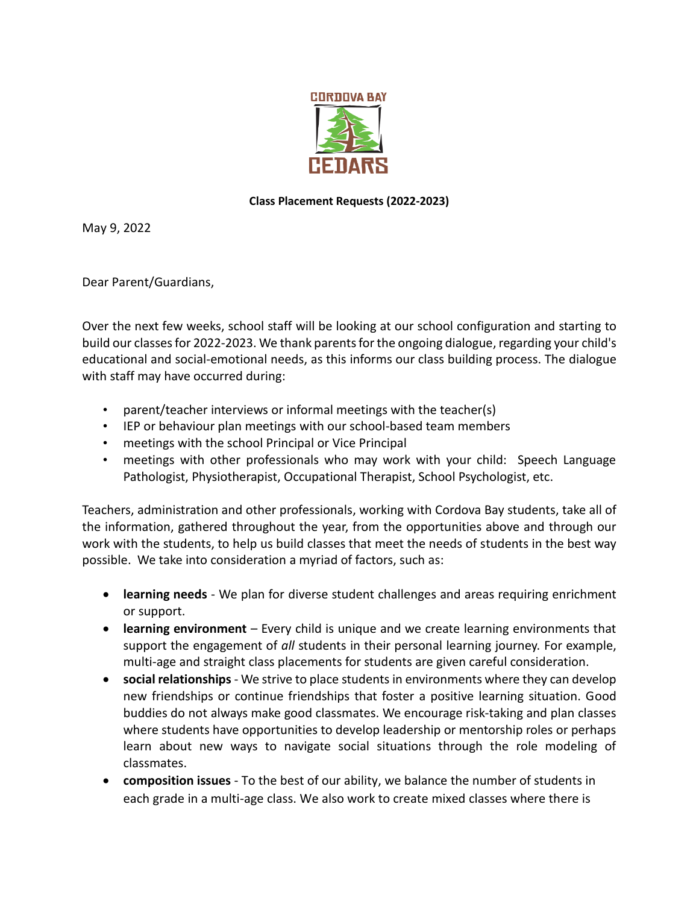

## **Class Placement Requests (2022-2023)**

May 9, 2022

Dear Parent/Guardians,

Over the next few weeks, school staff will be looking at our school configuration and starting to build our classes for 2022-2023. We thank parents for the ongoing dialogue, regarding your child's educational and social-emotional needs, as this informs our class building process. The dialogue with staff may have occurred during:

- parent/teacher interviews or informal meetings with the teacher(s)
- IEP or behaviour plan meetings with our school-based team members
- meetings with the school Principal or Vice Principal
- meetings with other professionals who may work with your child: Speech Language Pathologist, Physiotherapist, Occupational Therapist, School Psychologist, etc.

Teachers, administration and other professionals, working with Cordova Bay students, take all of the information, gathered throughout the year, from the opportunities above and through our work with the students, to help us build classes that meet the needs of students in the best way possible. We take into consideration a myriad of factors, such as:

- **learning needs**  We plan for diverse student challenges and areas requiring enrichment or support.
- **learning environment**  Every child is unique and we create learning environments that support the engagement of *all* students in their personal learning journey. For example, multi-age and straight class placements for students are given careful consideration.
- **social relationships**  We strive to place students in environments where they can develop new friendships or continue friendships that foster a positive learning situation. Good buddies do not always make good classmates. We encourage risk-taking and plan classes where students have opportunities to develop leadership or mentorship roles or perhaps learn about new ways to navigate social situations through the role modeling of classmates.
- **composition issues**  To the best of our ability, we balance the number of students in each grade in a multi-age class. We also work to create mixed classes where there is